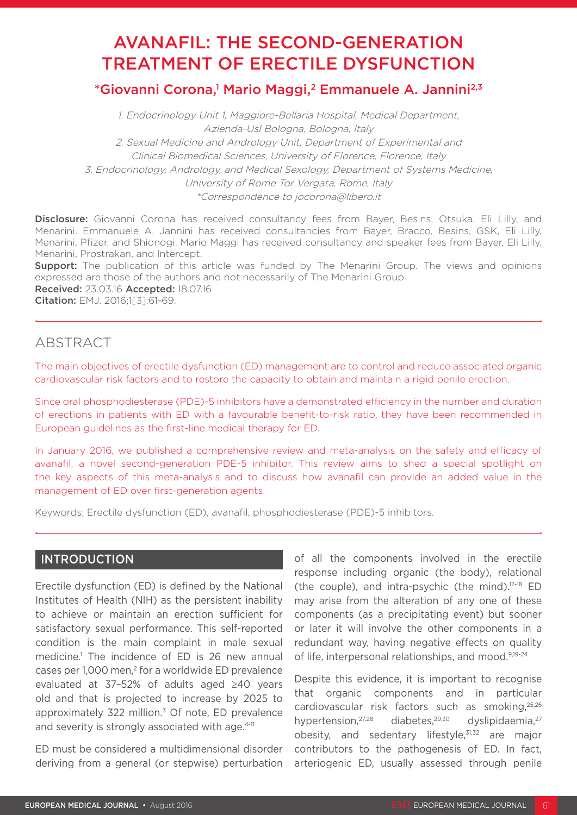# AVANAFIL: THE SECOND-GENERATION TREATMENT OF ERECTILE DYSFUNCTION

# \*Giovanni Corona,<sup>1</sup> Mario Maggi,<sup>2</sup> Emmanuele A. Jannini<sup>2,3</sup>

1. Endocrinology Unit 1, Maggiore-Bellaria Hospital, Medical Department, Azienda-Usl Bologna, Bologna, Italy 2. Sexual Medicine and Andrology Unit, Department of Experimental and Clinical Biomedical Sciences, University of Florence, Florence, Italy 3. Endocrinology, Andrology, and Medical Sexology, Department of Systems Medicine, University of Rome Tor Vergata, Rome, Italy \*Correspondence to jocorona@libero.it

Disclosure: Giovanni Corona has received consultancy fees from Bayer, Besins, Otsuka, Eli Lilly, and Menarini. Emmanuele A. Jannini has received consultancies from Bayer, Bracco, Besins, GSK, Eli Lilly, Menarini, Pfizer, and Shionogi. Mario Maggi has received consultancy and speaker fees from Bayer, Eli Lilly, Menarini, Prostrakan, and Intercept.

**Support:** The publication of this article was funded by The Menarini Group. The views and opinions expressed are those of the authors and not necessarily of The Menarini Group. Received: 23.03.16 Accepted: 18.07.16

Citation: EMJ. 2016;1[3]:61-69.

# ABSTRACT

The main objectives of erectile dysfunction (ED) management are to control and reduce associated organic cardiovascular risk factors and to restore the capacity to obtain and maintain a rigid penile erection.

Since oral phosphodiesterase (PDE)-5 inhibitors have a demonstrated efficiency in the number and duration of erections in patients with ED with a favourable benefit-to-risk ratio, they have been recommended in European guidelines as the first-line medical therapy for ED.

In January 2016, we published a comprehensive review and meta-analysis on the safety and efficacy of avanafil, a novel second-generation PDE-5 inhibitor. This review aims to shed a special spotlight on the key aspects of this meta-analysis and to discuss how avanafil can provide an added value in the management of ED over first-generation agents.

Keywords: Erectile dysfunction (ED), avanafil, phosphodiesterase (PDE)-5 inhibitors.

# INTRODUCTION

Erectile dysfunction (ED) is defined by the National Institutes of Health (NIH) as the persistent inability to achieve or maintain an erection sufficient for satisfactory sexual performance. This self-reported condition is the main complaint in male sexual medicine.1 The incidence of ED is 26 new annual cases per 1,000 men,<sup>2</sup> for a worldwide ED prevalence evaluated at 37–52% of adults aged ≥40 years old and that is projected to increase by 2025 to approximately 322 million.<sup>3</sup> Of note, ED prevalence and severity is strongly associated with age.<sup>4-11</sup>

ED must be considered a multidimensional disorder deriving from a general (or stepwise) perturbation of all the components involved in the erectile response including organic (the body), relational (the couple), and intra-psychic (the mind). $12-18$  ED may arise from the alteration of any one of these components (as a precipitating event) but sooner or later it will involve the other components in a redundant way, having negative effects on quality of life, interpersonal relationships, and mood.<sup>9,19-24</sup>

Despite this evidence, it is important to recognise that organic components and in particular cardiovascular risk factors such as smoking,25,26 hypertension, 27,28 diabetes, 29,30 dyslipidaemia, 27 obesity, and sedentary lifestyle,31,32 are major contributors to the pathogenesis of ED. In fact, arteriogenic ED, usually assessed through penile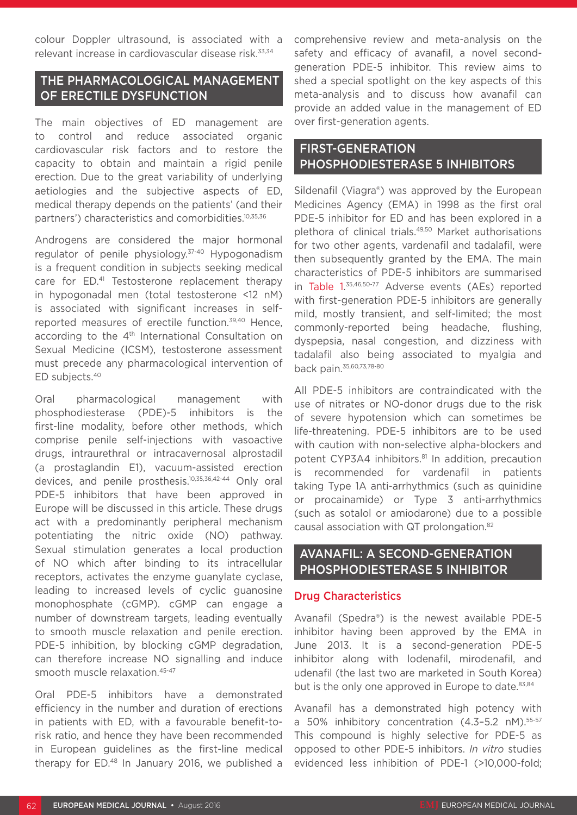colour Doppler ultrasound, is associated with a relevant increase in cardiovascular disease risk.33,34

# THE PHARMACOLOGICAL MANAGEMENT OF ERECTILE DYSFUNCTION

The main objectives of ED management are to control and reduce associated organic cardiovascular risk factors and to restore the capacity to obtain and maintain a rigid penile erection. Due to the great variability of underlying aetiologies and the subjective aspects of ED, medical therapy depends on the patients' (and their partners') characteristics and comorbidities.10,35,36

Androgens are considered the major hormonal regulator of penile physiology.37-40 Hypogonadism is a frequent condition in subjects seeking medical care for ED.<sup>41</sup> Testosterone replacement therapy in hypogonadal men (total testosterone <12 nM) is associated with significant increases in selfreported measures of erectile function.<sup>39,40</sup> Hence. according to the 4<sup>th</sup> International Consultation on Sexual Medicine (ICSM), testosterone assessment must precede any pharmacological intervention of ED subjects.40

Oral pharmacological management with phosphodiesterase (PDE)-5 inhibitors is the first-line modality, before other methods, which comprise penile self-injections with vasoactive drugs, intraurethral or intracavernosal alprostadil (a prostaglandin E1), vacuum-assisted erection devices, and penile prosthesis.10,35,36,42-44 Only oral PDE-5 inhibitors that have been approved in Europe will be discussed in this article. These drugs act with a predominantly peripheral mechanism potentiating the nitric oxide (NO) pathway. Sexual stimulation generates a local production of NO which after binding to its intracellular receptors, activates the enzyme guanylate cyclase, leading to increased levels of cyclic guanosine monophosphate (cGMP). cGMP can engage a number of downstream targets, leading eventually to smooth muscle relaxation and penile erection. PDE-5 inhibition, by blocking cGMP degradation, can therefore increase NO signalling and induce smooth muscle relaxation.45-47

Oral PDE-5 inhibitors have a demonstrated efficiency in the number and duration of erections in patients with ED, with a favourable benefit-torisk ratio, and hence they have been recommended in European guidelines as the first-line medical therapy for ED.48 In January 2016, we published a

comprehensive review and meta-analysis on the safety and efficacy of avanafil, a novel secondgeneration PDE-5 inhibitor. This review aims to shed a special spotlight on the key aspects of this meta-analysis and to discuss how avanafil can provide an added value in the management of ED over first-generation agents.

# FIRST-GENERATION PHOSPHODIESTERASE 5 INHIBITORS

Sildenafil (Viagra®) was approved by the European Medicines Agency (EMA) in 1998 as the first oral PDE-5 inhibitor for ED and has been explored in a plethora of clinical trials.49,50 Market authorisations for two other agents, vardenafil and tadalafil, were then subsequently granted by the EMA. The main characteristics of PDE-5 inhibitors are summarised in Table 1. 35,46,50-77 Adverse events (AEs) reported with first-generation PDE-5 inhibitors are generally mild, mostly transient, and self-limited; the most commonly-reported being headache, flushing, dyspepsia, nasal congestion, and dizziness with tadalafil also being associated to myalgia and back pain.35,60,73,78-80

All PDE-5 inhibitors are contraindicated with the use of nitrates or NO-donor drugs due to the risk of severe hypotension which can sometimes be life-threatening. PDE-5 inhibitors are to be used with caution with non-selective alpha-blockers and potent CYP3A4 inhibitors.<sup>81</sup> In addition, precaution is recommended for vardenafil in patients taking Type 1A anti-arrhythmics (such as quinidine or procainamide) or Type 3 anti-arrhythmics (such as sotalol or amiodarone) due to a possible causal association with QT prolongation.82

# AVANAFIL: A SECOND-GENERATION PHOSPHODIESTERASE 5 INHIBITOR

### Drug Characteristics

Avanafil (Spedra®) is the newest available PDE-5 inhibitor having been approved by the EMA in June 2013. It is a second-generation PDE-5 inhibitor along with lodenafil, mirodenafil, and udenafil (the last two are marketed in South Korea) but is the only one approved in Europe to date.<sup>83,84</sup>

Avanafil has a demonstrated high potency with a 50% inhibitory concentration (4.3–5.2 nM).55-57 This compound is highly selective for PDE-5 as opposed to other PDE-5 inhibitors. *In vitro* studies evidenced less inhibition of PDE-1 (>10,000-fold;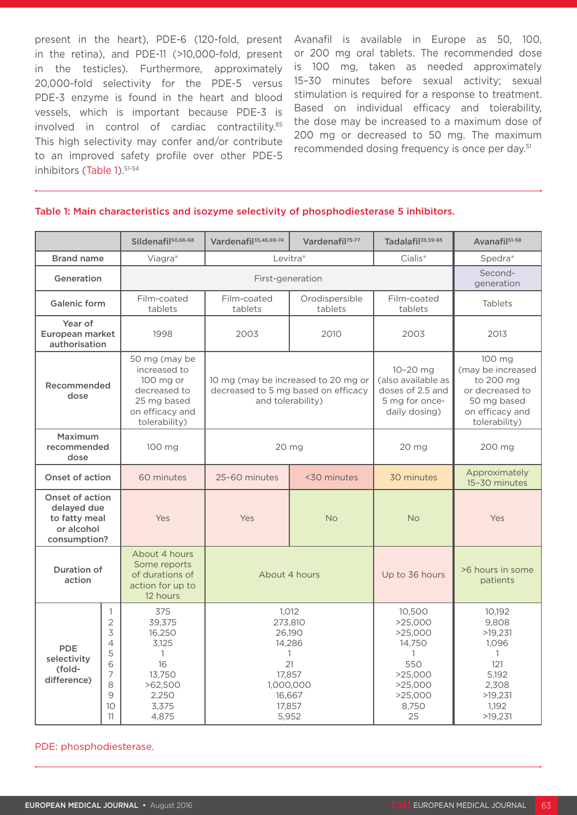present in the heart), PDE-6 (120-fold, present in the retina), and PDE-11 (>10,000-fold, present in the testicles). Furthermore, approximately 20,000-fold selectivity for the PDE-5 versus PDE-3 enzyme is found in the heart and blood vessels, which is important because PDE-3 is involved in control of cardiac contractility.85 This high selectivity may confer and/or contribute to an improved safety profile over other PDE-5 inhibitors (Table 1).<sup>51-54</sup>

Avanafil is available in Europe as 50, 100, or 200 mg oral tablets. The recommended dose is 100 mg, taken as needed approximately 15–30 minutes before sexual activity; sexual stimulation is required for a response to treatment. Based on individual efficacy and tolerability, the dose may be increased to a maximum dose of 200 mg or decreased to 50 mg. The maximum recommended dosing frequency is once per day.51

|                                                                               |                                                                                | Sildenafil <sup>50,66-68</sup>                                                                                | Vardenafil <sup>35,46,69-74</sup>                                                                              | Vardenafil <sup>75-77</sup> | Tadalafil <sup>35,59-65</sup>                                                                                 | Avanafil <sup>51-58</sup>                                                                                      |
|-------------------------------------------------------------------------------|--------------------------------------------------------------------------------|---------------------------------------------------------------------------------------------------------------|----------------------------------------------------------------------------------------------------------------|-----------------------------|---------------------------------------------------------------------------------------------------------------|----------------------------------------------------------------------------------------------------------------|
| <b>Brand name</b>                                                             |                                                                                | Viagra®                                                                                                       | Levitra <sup>®</sup>                                                                                           |                             | Cialis <sup>®</sup>                                                                                           | Spedra®                                                                                                        |
| Generation                                                                    |                                                                                | First-generation                                                                                              |                                                                                                                |                             |                                                                                                               | Second-<br>generation                                                                                          |
| <b>Galenic form</b>                                                           |                                                                                | Film-coated<br>tablets                                                                                        | Film-coated<br>tablets                                                                                         | Orodispersible<br>tablets   | Film-coated<br>tablets                                                                                        | <b>Tablets</b>                                                                                                 |
| Year of<br>European market<br>authorisation                                   |                                                                                | 1998                                                                                                          | 2003                                                                                                           | 2010                        | 2003                                                                                                          | 2013                                                                                                           |
| Recommended<br>dose                                                           |                                                                                | 50 mg (may be<br>increased to<br>100 mg or<br>decreased to<br>25 mg based<br>on efficacy and<br>tolerability) | 10 mg (may be increased to 20 mg or<br>decreased to 5 mg based on efficacy<br>and tolerability)                |                             | $10 - 20$ mg<br>(also available as<br>doses of 2.5 and<br>5 mg for once-<br>daily dosing)                     | 100 mg<br>(may be increased<br>to 200 mg<br>or decreased to<br>50 mg based<br>on efficacy and<br>tolerability) |
| Maximum<br>recommended<br>dose                                                |                                                                                | 100 mg                                                                                                        | 20 mg                                                                                                          |                             | 20 mg                                                                                                         | 200 mg                                                                                                         |
| <b>Onset of action</b>                                                        |                                                                                | 60 minutes                                                                                                    | 25-60 minutes                                                                                                  | <30 minutes                 | 30 minutes                                                                                                    | Approximately<br>15-30 minutes                                                                                 |
| Onset of action<br>delayed due<br>to fatty meal<br>or alcohol<br>consumption? |                                                                                | Yes                                                                                                           | Yes                                                                                                            | <b>No</b>                   | <b>No</b>                                                                                                     | Yes                                                                                                            |
| Duration of<br>action                                                         |                                                                                | About 4 hours<br>Some reports<br>of durations of<br>action for up to<br>12 hours                              | About 4 hours                                                                                                  |                             | Up to 36 hours                                                                                                | >6 hours in some<br>patients                                                                                   |
| <b>PDE</b><br>selectivity<br>(fold-<br>difference)                            | 1<br>$\overline{2}$<br>3<br>4<br>5<br>6<br>7<br>8<br>$\mathcal{G}$<br>10<br>11 | 375<br>39,375<br>16,250<br>3,125<br>$\mathbf{1}$<br>16<br>13.750<br>>62,500<br>2,250<br>3,375<br>4,875        | 1,012<br>273,810<br>26,190<br>14,286<br>$\mathbf{1}$<br>21<br>17.857<br>1,000,000<br>16,667<br>17,857<br>5,952 |                             | 10,500<br>>25,000<br>>25,000<br>14,750<br>$\mathbf{1}$<br>550<br>>25,000<br>>25,000<br>>25,000<br>8,750<br>25 | 10,192<br>9,808<br>>19,231<br>1,096<br>1<br>121<br>5,192<br>2,308<br>>19,231<br>1,192<br>>19,231               |

#### Table 1: Main characteristics and isozyme selectivity of phosphodiesterase 5 inhibitors.

#### PDE: phosphodiesterase.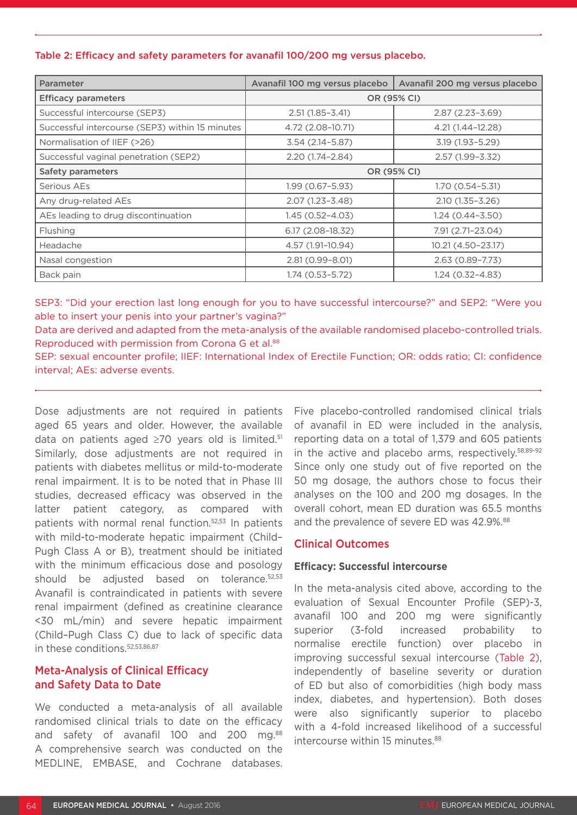#### Table 2: Efficacy and safety parameters for avanafil 100/200 mg versus placebo.

| <b>Parameter</b>                                | Avanafil 100 mg versus placebo | Avanafil 200 mg versus placebo |  |  |
|-------------------------------------------------|--------------------------------|--------------------------------|--|--|
| <b>Efficacy parameters</b>                      | OR (95% CI)                    |                                |  |  |
| Successful intercourse (SEP3)                   | $2.51(1.85 - 3.41)$            | $2.87(2.23 - 3.69)$            |  |  |
| Successful intercourse (SEP3) within 15 minutes | 4.72 (2.08-10.71)              | 4.21 (1.44-12.28)              |  |  |
| Normalisation of IIEF (>26)                     | $3.54(2.14 - 5.87)$            | 3.19 (1.93-5.29)               |  |  |
| Successful vaginal penetration (SEP2)           | $2.20(1.74 - 2.84)$            | $2.57(1.99 - 3.32)$            |  |  |
| Safety parameters                               | OR (95% CI)                    |                                |  |  |
| Serious AEs                                     | 1.99 (0.67-5.93)               | $1.70(0.54 - 5.31)$            |  |  |
| Any drug-related AEs                            | $2.07(1.23 - 3.48)$            | $2.10(1.35 - 3.26)$            |  |  |
| AEs leading to drug discontinuation             | $1.45(0.52 - 4.03)$            | 1.24 (0.44–3.50)               |  |  |
| Flushing                                        | 6.17 (2.08-18.32)              | 7.91 (2.71-23.04)              |  |  |
| Headache                                        | 4.57 (1.91-10.94)              | 10.21 (4.50-23.17)             |  |  |
| Nasal congestion                                | 2.81 (0.99-8.01)               | $2.63(0.89 - 7.73)$            |  |  |
| Back pain                                       | $1.74(0.53 - 5.72)$            | $1.24(0.32 - 4.83)$            |  |  |

SEP3: "Did your erection last long enough for you to have successful intercourse?" and SEP2: "Were you able to insert your penis into your partner's vagina?"

Data are derived and adapted from the meta-analysis of the available randomised placebo-controlled trials. Reproduced with permission from Corona G et al.<sup>88</sup>

SEP: sexual encounter profile; IIEF: International Index of Erectile Function; OR: odds ratio; CI: confidence interval; AEs: adverse events.

Dose adjustments are not required in patients aged 65 years and older. However, the available data on patients aged ≥70 years old is limited.51 Similarly, dose adjustments are not required in patients with diabetes mellitus or mild-to-moderate renal impairment. It is to be noted that in Phase III studies, decreased efficacy was observed in the latter patient category, as compared with patients with normal renal function.52,53 In patients with mild-to-moderate hepatic impairment (Child– Pugh Class A or B), treatment should be initiated with the minimum efficacious dose and posology should be adjusted based on tolerance.<sup>52,53</sup> Avanafil is contraindicated in patients with severe renal impairment (defined as creatinine clearance <30 mL/min) and severe hepatic impairment (Child–Pugh Class C) due to lack of specific data in these conditions.52,53,86,87

### Meta-Analysis of Clinical Efficacy and Safety Data to Date

We conducted a meta-analysis of all available randomised clinical trials to date on the efficacy and safety of avanafil 100 and 200 mg.<sup>88</sup> A comprehensive search was conducted on the MEDLINE, EMBASE, and Cochrane databases.

Five placebo-controlled randomised clinical trials of avanafil in ED were included in the analysis, reporting data on a total of 1,379 and 605 patients in the active and placebo arms, respectively.58,89-92 Since only one study out of five reported on the 50 mg dosage, the authors chose to focus their analyses on the 100 and 200 mg dosages. In the overall cohort, mean ED duration was 65.5 months and the prevalence of severe ED was 42.9%.<sup>88</sup>

#### Clinical Outcomes

#### **Efficacy: Successful intercourse**

In the meta-analysis cited above, according to the evaluation of Sexual Encounter Profile (SEP)-3, avanafil 100 and 200 mg were significantly superior (3-fold increased probability to normalise erectile function) over placebo in improving successful sexual intercourse (Table 2), independently of baseline severity or duration of ED but also of comorbidities (high body mass index, diabetes, and hypertension). Both doses were also significantly superior to placebo with a 4-fold increased likelihood of a successful intercourse within 15 minutes.<sup>88</sup>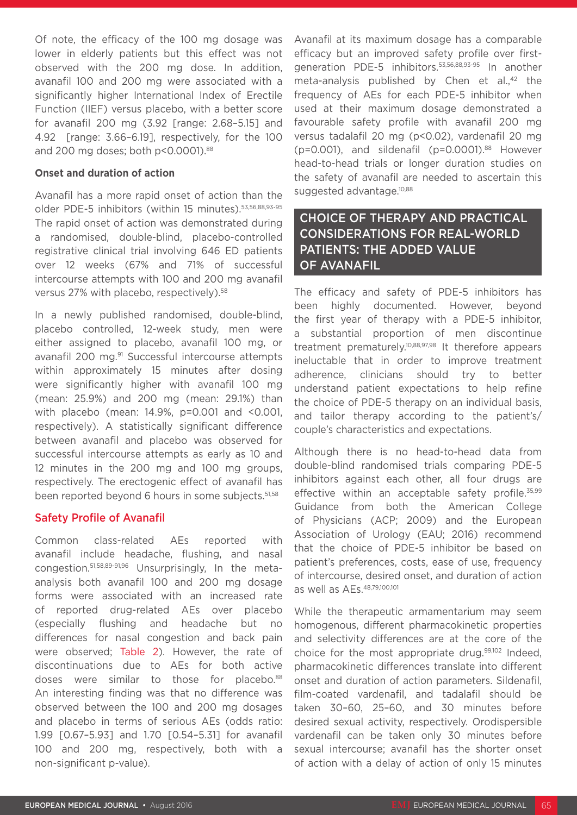Of note, the efficacy of the 100 mg dosage was lower in elderly patients but this effect was not observed with the 200 mg dose. In addition, avanafil 100 and 200 mg were associated with a significantly higher International Index of Erectile Function (IIEF) versus placebo, with a better score for avanafil 200 mg (3.92 [range: 2.68–5.15] and 4.92 [range: 3.66–6.19], respectively, for the 100 and 200 mg doses; both p<0.0001).<sup>88</sup>

#### **Onset and duration of action**

Avanafil has a more rapid onset of action than the older PDE-5 inhibitors (within 15 minutes).53,56,88,93-95 The rapid onset of action was demonstrated during a randomised, double-blind, placebo-controlled registrative clinical trial involving 646 ED patients over 12 weeks (67% and 71% of successful intercourse attempts with 100 and 200 mg avanafil versus 27% with placebo, respectively).<sup>58</sup>

In a newly published randomised, double-blind, placebo controlled, 12-week study, men were either assigned to placebo, avanafil 100 mg, or avanafil 200 mg.<sup>91</sup> Successful intercourse attempts within approximately 15 minutes after dosing were significantly higher with avanafil 100 mg (mean: 25.9%) and 200 mg (mean: 29.1%) than with placebo (mean: 14.9%, p=0.001 and <0.001, respectively). A statistically significant difference between avanafil and placebo was observed for successful intercourse attempts as early as 10 and 12 minutes in the 200 mg and 100 mg groups, respectively. The erectogenic effect of avanafil has been reported beyond 6 hours in some subjects.<sup>51,58</sup>

# Safety Profile of Avanafil

Common class-related AEs reported with avanafil include headache, flushing, and nasal congestion.51,58,89-91,96 Unsurprisingly, In the metaanalysis both avanafil 100 and 200 mg dosage forms were associated with an increased rate of reported drug-related AEs over placebo (especially flushing and headache but no differences for nasal congestion and back pain were observed; Table 2). However, the rate of discontinuations due to AEs for both active doses were similar to those for placebo.88 An interesting finding was that no difference was observed between the 100 and 200 mg dosages and placebo in terms of serious AEs (odds ratio: 1.99 [0.67–5.93] and 1.70 [0.54–5.31] for avanafil 100 and 200 mg, respectively, both with a non-significant p-value).

Avanafil at its maximum dosage has a comparable efficacy but an improved safety profile over firstgeneration PDE-5 inhibitors.53,56,88,93-95 In another meta-analysis published by Chen et al.,<sup>42</sup> the frequency of AEs for each PDE-5 inhibitor when used at their maximum dosage demonstrated a favourable safety profile with avanafil 200 mg versus tadalafil 20 mg (p<0.02), vardenafil 20 mg ( $p=0.001$ ), and sildenafil ( $p=0.0001$ ).<sup>88</sup> However head-to-head trials or longer duration studies on the safety of avanafil are needed to ascertain this suggested advantage.<sup>10,88</sup>

# CHOICE OF THERAPY AND PRACTICAL CONSIDERATIONS FOR REAL-WORLD PATIENTS: THE ADDED VALUE OF AVANAFIL

The efficacy and safety of PDE-5 inhibitors has been highly documented. However, beyond the first year of therapy with a PDE-5 inhibitor, a substantial proportion of men discontinue treatment prematurely.10,88,97,98 It therefore appears ineluctable that in order to improve treatment adherence, clinicians should try to better understand patient expectations to help refine the choice of PDE-5 therapy on an individual basis, and tailor therapy according to the patient's/ couple's characteristics and expectations.

Although there is no head-to-head data from double-blind randomised trials comparing PDE-5 inhibitors against each other, all four drugs are effective within an acceptable safety profile.<sup>35,99</sup> Guidance from both the American College of Physicians (ACP; 2009) and the European Association of Urology (EAU; 2016) recommend that the choice of PDE-5 inhibitor be based on patient's preferences, costs, ease of use, frequency of intercourse, desired onset, and duration of action as well as AEs.48,79,100,101

While the therapeutic armamentarium may seem homogenous, different pharmacokinetic properties and selectivity differences are at the core of the choice for the most appropriate drug.99,102 Indeed, pharmacokinetic differences translate into different onset and duration of action parameters. Sildenafil, film-coated vardenafil, and tadalafil should be taken 30–60, 25–60, and 30 minutes before desired sexual activity, respectively. Orodispersible vardenafil can be taken only 30 minutes before sexual intercourse; avanafil has the shorter onset of action with a delay of action of only 15 minutes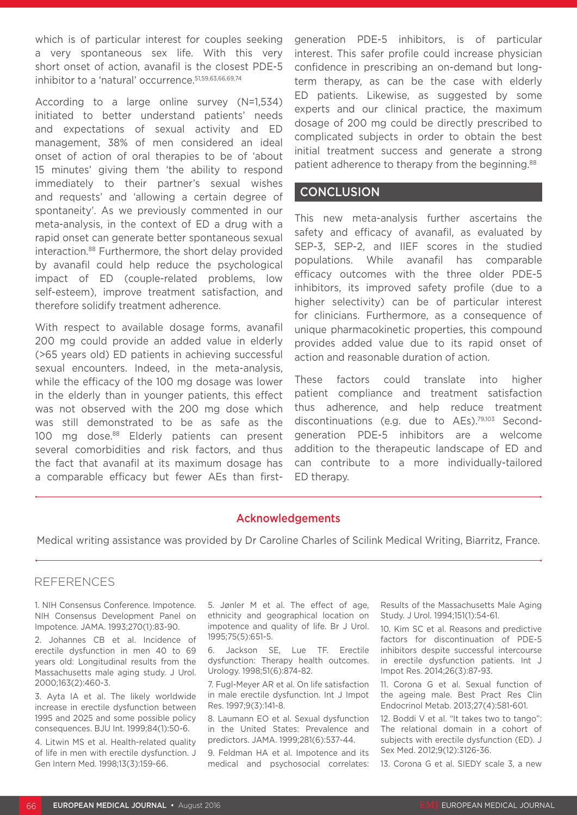which is of particular interest for couples seeking a very spontaneous sex life. With this very short onset of action, avanafil is the closest PDE-5 inhibitor to a 'natural' occurrence.<sup>51,59,63,66,69,74</sup>

According to a large online survey (N=1,534) initiated to better understand patients' needs and expectations of sexual activity and ED management, 38% of men considered an ideal onset of action of oral therapies to be of 'about 15 minutes' giving them 'the ability to respond immediately to their partner's sexual wishes and requests' and 'allowing a certain degree of spontaneity'. As we previously commented in our meta-analysis, in the context of ED a drug with a rapid onset can generate better spontaneous sexual interaction.88 Furthermore, the short delay provided by avanafil could help reduce the psychological impact of ED (couple-related problems, low self-esteem), improve treatment satisfaction, and therefore solidify treatment adherence.

With respect to available dosage forms, avanafil 200 mg could provide an added value in elderly (>65 years old) ED patients in achieving successful sexual encounters. Indeed, in the meta-analysis, while the efficacy of the 100 mg dosage was lower in the elderly than in younger patients, this effect was not observed with the 200 mg dose which was still demonstrated to be as safe as the 100 mg dose.<sup>88</sup> Elderly patients can present several comorbidities and risk factors, and thus the fact that avanafil at its maximum dosage has a comparable efficacy but fewer AEs than firstgeneration PDE-5 inhibitors, is of particular interest. This safer profile could increase physician confidence in prescribing an on-demand but longterm therapy, as can be the case with elderly ED patients. Likewise, as suggested by some experts and our clinical practice, the maximum dosage of 200 mg could be directly prescribed to complicated subjects in order to obtain the best initial treatment success and generate a strong patient adherence to therapy from the beginning.<sup>88</sup>

### **CONCLUSION**

This new meta-analysis further ascertains the safety and efficacy of avanafil, as evaluated by SEP-3, SEP-2, and IIEF scores in the studied populations. While avanafil has comparable efficacy outcomes with the three older PDE-5 inhibitors, its improved safety profile (due to a higher selectivity) can be of particular interest for clinicians. Furthermore, as a consequence of unique pharmacokinetic properties, this compound provides added value due to its rapid onset of action and reasonable duration of action.

These factors could translate into higher patient compliance and treatment satisfaction thus adherence, and help reduce treatment discontinuations (e.g. due to AEs).79,103 Secondgeneration PDE-5 inhibitors are a welcome addition to the therapeutic landscape of ED and can contribute to a more individually-tailored ED therapy.

# Acknowledgements

Medical writing assistance was provided by Dr Caroline Charles of Scilink Medical Writing, Biarritz, France.

### REFERENCES

1. NIH Consensus Conference. Impotence. NIH Consensus Development Panel on Impotence. JAMA. 1993;270(1):83-90.

2. Johannes CB et al. Incidence of erectile dysfunction in men 40 to 69 years old: Longitudinal results from the Massachusetts male aging study. J Urol. 2000;163(2):460-3.

3. Ayta IA et al. The likely worldwide increase in erectile dysfunction between 1995 and 2025 and some possible policy consequences. BJU Int. 1999;84(1):50-6.

4. Litwin MS et al. Health-related quality of life in men with erectile dysfunction. J Gen Intern Med. 1998;13(3):159-66.

5. Jønler M et al. The effect of age, ethnicity and geographical location on impotence and quality of life. Br J Urol. 1995;75(5):651-5.

6. Jackson SE, Lue TF. Erectile dysfunction: Therapy health outcomes. Urology. 1998;51(6):874-82.

7. Fugl-Meyer AR et al. On life satisfaction in male erectile dysfunction. Int J Impot Res. 1997;9(3):141-8.

8. Laumann EO et al. Sexual dysfunction in the United States: Prevalence and predictors. JAMA. 1999;281(6):537-44.

9. Feldman HA et al. Impotence and its medical and psychosocial correlates:

Results of the Massachusetts Male Aging Study. J Urol. 1994;151(1):54-61.

10. Kim SC et al. Reasons and predictive factors for discontinuation of PDE-5 inhibitors despite successful intercourse in erectile dysfunction patients. Int J Impot Res. 2014;26(3):87-93.

11. Corona G et al. Sexual function of the ageing male. Best Pract Res Clin Endocrinol Metab. 2013;27(4):581-601.

12. Boddi V et al. "It takes two to tango": The relational domain in a cohort of subjects with erectile dysfunction (ED). J Sex Med. 2012;9(12):3126-36.

13. Corona G et al. SIEDY scale 3, a new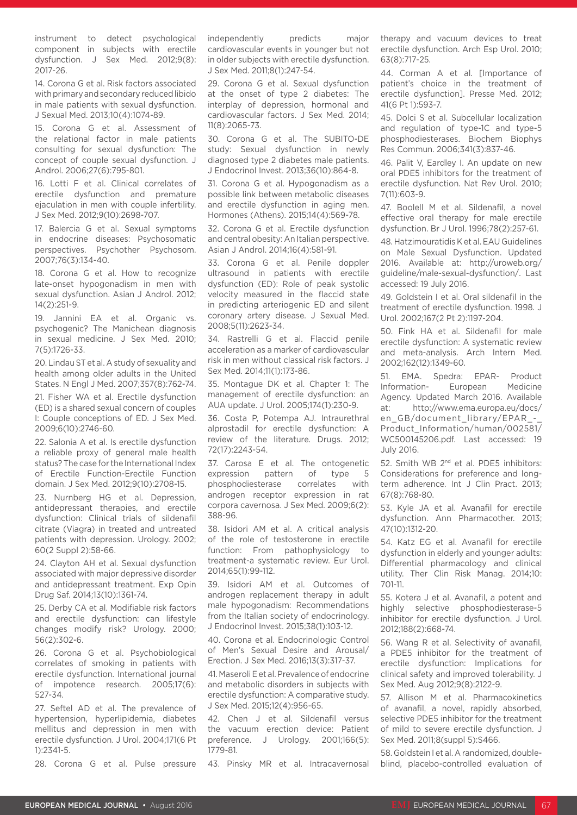instrument to detect psychological component in subjects with erectile dysfunction. J Sex Med. 2012;9(8): 2017-26.

14. Corona G et al. Risk factors associated with primary and secondary reduced libido in male patients with sexual dysfunction. J Sexual Med. 2013;10(4):1074-89.

15. Corona G et al. Assessment of the relational factor in male patients consulting for sexual dysfunction: The concept of couple sexual dysfunction. J Androl. 2006;27(6):795-801.

16. Lotti F et al. Clinical correlates of erectile dysfunction and premature ejaculation in men with couple infertility. J Sex Med. 2012;9(10):2698-707.

17. Balercia G et al. Sexual symptoms in endocrine diseases: Psychosomatic perspectives. Psychother Psychosom. 2007;76(3):134-40.

18. Corona G et al. How to recognize late-onset hypogonadism in men with sexual dysfunction. Asian J Androl. 2012; 14(2):251-9.

19. Jannini EA et al. Organic vs. psychogenic? The Manichean diagnosis in sexual medicine. J Sex Med. 2010; 7(5):1726-33.

20. Lindau ST et al. A study of sexuality and health among older adults in the United States. N Engl J Med. 2007;357(8):762-74.

21. Fisher WA et al. Erectile dysfunction (ED) is a shared sexual concern of couples I: Couple conceptions of ED. J Sex Med. 2009;6(10):2746-60.

22. Salonia A et al. Is erectile dysfunction a reliable proxy of general male health status? The case for the International Index of Erectile Function-Erectile Function domain. J Sex Med. 2012;9(10):2708-15.

23. Nurnberg HG et al. Depression, antidepressant therapies, and erectile dysfunction: Clinical trials of sildenafil citrate (Viagra) in treated and untreated patients with depression. Urology. 2002; 60(2 Suppl 2):58-66.

24. Clayton AH et al. Sexual dysfunction associated with major depressive disorder and antidepressant treatment. Exp Opin Drug Saf. 2014;13(10):1361-74.

25. Derby CA et al. Modifiable risk factors and erectile dysfunction: can lifestyle changes modify risk? Urology. 2000; 56(2):302-6.

26. Corona G et al. Psychobiological correlates of smoking in patients with erectile dysfunction. International journal of impotence research. 2005;17(6): 527-34.

27. Seftel AD et al. The prevalence of hypertension, hyperlipidemia, diabetes mellitus and depression in men with erectile dysfunction. J Urol. 2004;171(6 Pt 1):2341-5.

28. Corona G et al. Pulse pressure

independently predicts major cardiovascular events in younger but not in older subjects with erectile dysfunction. J Sex Med. 2011;8(1):247-54.

29. Corona G et al. Sexual dysfunction at the onset of type 2 diabetes: The interplay of depression, hormonal and cardiovascular factors. J Sex Med. 2014; 11(8):2065-73.

30. Corona G et al. The SUBITO-DE study: Sexual dysfunction in newly diagnosed type 2 diabetes male patients. J Endocrinol Invest. 2013;36(10):864-8.

31. Corona G et al. Hypogonadism as a possible link between metabolic diseases and erectile dysfunction in aging men. Hormones (Athens). 2015;14(4):569-78.

32. Corona G et al. Erectile dysfunction and central obesity: An Italian perspective. Asian J Androl. 2014;16(4):581-91.

33. Corona G et al. Penile doppler ultrasound in patients with erectile dysfunction (ED): Role of peak systolic velocity measured in the flaccid state in predicting arteriogenic ED and silent coronary artery disease. J Sexual Med. 2008;5(11):2623-34.

34. Rastrelli G et al. Flaccid penile acceleration as a marker of cardiovascular risk in men without classical risk factors. J Sex Med. 2014;11(1):173-86.

35. Montague DK et al. Chapter 1: The management of erectile dysfunction: an AUA update. J Urol. 2005;174(1):230-9.

36. Costa P, Potempa AJ. Intraurethral alprostadil for erectile dysfunction: A review of the literature. Drugs. 2012; 72(17):2243-54.

37. Carosa E et al. The ontogenetic expression pattern of type 5<br>phosphodiesterase correlates with phosphodiesterase correlates androgen receptor expression in rat corpora cavernosa. J Sex Med. 2009;6(2): 388-96.

38. Isidori AM et al. A critical analysis of the role of testosterone in erectile function: From pathophysiology to treatment-a systematic review. Eur Urol. 2014;65(1):99-112.

39. Isidori AM et al. Outcomes of androgen replacement therapy in adult male hypogonadism: Recommendations from the Italian society of endocrinology. J Endocrinol Invest. 2015;38(1):103-12.

40. Corona et al. Endocrinologic Control of Men's Sexual Desire and Arousal/ Erection. J Sex Med. 2016;13(3):317-37.

41. Maseroli E et al. Prevalence of endocrine and metabolic disorders in subjects with erectile dysfunction: A comparative study. J Sex Med. 2015;12(4):956-65.

42. Chen J et al. Sildenafil versus the vacuum erection device: Patient preference. J Urology. 2001;166(5): 1779-81.

43. Pinsky MR et al. Intracavernosal

therapy and vacuum devices to treat erectile dysfunction. Arch Esp Urol. 2010; 63(8):717-25.

44. Corman A et al. [Importance of patient's choice in the treatment of erectile dysfunction]. Presse Med. 2012; 41(6 Pt 1):593-7.

45. Dolci S et al. Subcellular localization and regulation of type-1C and type-5 phosphodiesterases. Biochem Biophys Res Commun. 2006;341(3):837-46.

46. Palit V, Eardley I. An update on new oral PDE5 inhibitors for the treatment of erectile dysfunction. Nat Rev Urol. 2010; 7(11):603-9.

47. Boolell M et al. Sildenafil, a novel effective oral therapy for male erectile dysfunction. Br J Urol. 1996;78(2):257-61.

48. Hatzimouratidis K et al. EAU Guidelines on Male Sexual Dysfunction. Updated 2016. Available at: http://uroweb.org/ guideline/male-sexual-dysfunction/. Last accessed: 19 July 2016.

49. Goldstein I et al. Oral sildenafil in the treatment of erectile dysfunction. 1998. J Urol. 2002;167(2 Pt 2):1197-204.

50. Fink HA et al. Sildenafil for male erectile dysfunction: A systematic review and meta-analysis. Arch Intern Med. 2002;162(12):1349-60.

51. EMA. Spedra: EPAR- Product Information- European Medicine Agency. Updated March 2016. Available at: http://www.ema.europa.eu/docs/ en GB/document library/EPAR -Product\_Information/human/002581/ WC500145206.pdf. Last accessed: 19 July 2016.

52. Smith WB 2nd et al. PDE5 inhibitors: Considerations for preference and longterm adherence. Int J Clin Pract. 2013; 67(8):768-80.

53. Kyle JA et al. Avanafil for erectile dysfunction. Ann Pharmacother. 2013; 47(10):1312-20.

54. Katz EG et al. Avanafil for erectile dysfunction in elderly and younger adults: Differential pharmacology and clinical utility. Ther Clin Risk Manag. 2014;10: 701-11.

55. Kotera J et al. Avanafil, a potent and highly selective phosphodiesterase-5 inhibitor for erectile dysfunction. J Urol. 2012;188(2):668-74.

56. Wang R et al. Selectivity of avanafil, a PDE5 inhibitor for the treatment of erectile dysfunction: Implications for clinical safety and improved tolerability. J Sex Med. Aug 2012;9(8):2122-9.

57. Allison M et al. Pharmacokinetics of avanafil, a novel, rapidly absorbed, selective PDE5 inhibitor for the treatment of mild to severe erectile dysfunction. J Sex Med. 2011;8(suppl 5):S466.

58. Goldstein I et al. A randomized, doubleblind, placebo-controlled evaluation of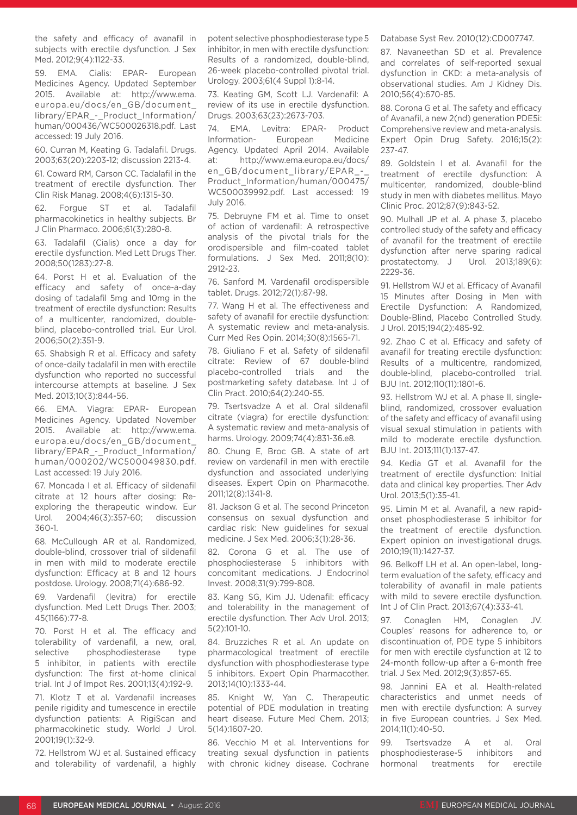the safety and efficacy of avanafil in subjects with erectile dysfunction. J Sex Med. 2012;9(4):1122-33.

59. EMA. Cialis: EPAR- European Medicines Agency. Updated September 2015. Available at: http://www.ema. europa.eu/docs/en\_GB/document\_ library/EPAR\_-\_Product\_Information/ human/000436/WC500026318.pdf. Last accessed: 19 July 2016.

60. Curran M, Keating G. Tadalafil. Drugs. 2003;63(20):2203-12; discussion 2213-4.

61. Coward RM, Carson CC. Tadalafil in the treatment of erectile dysfunction. Ther Clin Risk Manag. 2008;4(6):1315-30.

62. Forgue ST et al. Tadalafil pharmacokinetics in healthy subjects. Br J Clin Pharmaco. 2006;61(3):280-8.

63. Tadalafil (Cialis) once a day for erectile dysfunction. Med Lett Drugs Ther. 2008;50(1283):27-8.

64. Porst H et al. Evaluation of the efficacy and safety of once-a-day dosing of tadalafil 5mg and 10mg in the treatment of erectile dysfunction: Results of a multicenter, randomized, doubleblind, placebo-controlled trial. Eur Urol. 2006;50(2):351-9.

65. Shabsigh R et al. Efficacy and safety of once-daily tadalafil in men with erectile dysfunction who reported no successful intercourse attempts at baseline. J Sex Med. 2013;10(3):844-56.

66. EMA. Viagra: EPAR- European Medicines Agency. Updated November 2015. Available at: http://www.ema. europa.eu/docs/en\_GB/document\_ library/EPAR\_-\_Product\_Information/ human/000202/WC500049830.pdf. Last accessed: 19 July 2016.

67. Moncada I et al. Efficacy of sildenafil citrate at 12 hours after dosing: Reexploring the therapeutic window. Eur Urol. 2004;46(3):357-60; discussion 360-1.

68. McCullough AR et al. Randomized, double-blind, crossover trial of sildenafil in men with mild to moderate erectile dysfunction: Efficacy at 8 and 12 hours postdose. Urology. 2008;71(4):686-92.

69. Vardenafil (levitra) for erectile dysfunction. Med Lett Drugs Ther. 2003; 45(1166):77-8.

70. Porst H et al. The efficacy and tolerability of vardenafil, a new, oral, selective phosphodiesterase type 5 inhibitor, in patients with erectile dysfunction: The first at-home clinical trial. Int J of Impot Res. 2001;13(4):192-9.

71. Klotz T et al. Vardenafil increases penile rigidity and tumescence in erectile dysfunction patients: A RigiScan and pharmacokinetic study. World J Urol. 2001;19(1):32-9.

72. Hellstrom WJ et al. Sustained efficacy and tolerability of vardenafil, a highly potent selective phosphodiesterase type 5 inhibitor, in men with erectile dysfunction: Results of a randomized, double-blind, 26-week placebo-controlled pivotal trial. Urology. 2003;61(4 Suppl 1):8-14.

73. Keating GM, Scott LJ. Vardenafil: A review of its use in erectile dysfunction. Drugs. 2003;63(23):2673-703.

74. EMA. Levitra: EPAR- Product Information- European Medicine Agency. Updated April 2014. Available at: http://www.ema.europa.eu/docs/ en GB/document library/EPAR -Product\_Information/human/000475/ WC500039992.pdf. Last accessed: 19 July 2016.

75. Debruyne FM et al. Time to onset of action of vardenafil: A retrospective analysis of the pivotal trials for the orodispersible and film-coated tablet formulations. J Sex Med. 2011;8(10): 2912-23.

76. Sanford M. Vardenafil orodispersible tablet. Drugs. 2012;72(1):87-98.

77. Wang H et al. The effectiveness and safety of avanafil for erectile dysfunction: A systematic review and meta-analysis. Curr Med Res Opin. 2014;30(8):1565-71.

78. Giuliano F et al. Safety of sildenafil citrate: Review of 67 double-blind placebo-controlled trials and the postmarketing safety database. Int J of Clin Pract. 2010;64(2):240-55.

79. Tsertsvadze A et al. Oral sildenafil citrate (viagra) for erectile dysfunction: A systematic review and meta-analysis of harms. Urology. 2009;74(4):831-36.e8.

80. Chung E, Broc GB. A state of art review on vardenafil in men with erectile dysfunction and associated underlying diseases. Expert Opin on Pharmacothe. 2011;12(8):1341-8.

81. Jackson G et al. The second Princeton consensus on sexual dysfunction and cardiac risk: New guidelines for sexual medicine. J Sex Med. 2006;3(1):28-36.

82. Corona G et al. The use of phosphodiesterase 5 inhibitors with concomitant medications. J Endocrinol Invest. 2008;31(9):799-808.

83. Kang SG, Kim JJ. Udenafil: efficacy and tolerability in the management of erectile dysfunction. Ther Adv Urol. 2013; 5(2):101-10.

84. Bruzziches R et al. An update on pharmacological treatment of erectile dysfunction with phosphodiesterase type 5 inhibitors. Expert Opin Pharmacother. 2013;14(10):1333-44.

85. Knight W, Yan C. Therapeutic potential of PDE modulation in treating heart disease. Future Med Chem. 2013; 5(14):1607-20.

86. Vecchio M et al. Interventions for treating sexual dysfunction in patients with chronic kidney disease. Cochrane

Database Syst Rev. 2010(12):CD007747.

87. Navaneethan SD et al. Prevalence and correlates of self-reported sexual dysfunction in CKD: a meta-analysis of observational studies. Am J Kidney Dis. 2010;56(4):670-85.

88. Corona G et al. The safety and efficacy of Avanafil, a new 2(nd) generation PDE5i: Comprehensive review and meta-analysis. Expert Opin Drug Safety. 2016;15(2): 237-47.

89. Goldstein I et al. Avanafil for the treatment of erectile dysfunction: A multicenter, randomized, double-blind study in men with diabetes mellitus. Mayo Clinic Proc. 2012;87(9):843-52.

90. Mulhall JP et al. A phase 3, placebo controlled study of the safety and efficacy of avanafil for the treatment of erectile dysfunction after nerve sparing radical prostatectomy. J Urol. 2013;189(6): 2229-36.

91. Hellstrom WJ et al. Efficacy of Avanafil 15 Minutes after Dosing in Men with Erectile Dysfunction: A Randomized, Double-Blind, Placebo Controlled Study. J Urol. 2015;194(2):485-92.

92. Zhao C et al. Efficacy and safety of avanafil for treating erectile dysfunction: Results of a multicentre, randomized, double-blind, placebo-controlled trial. BJU Int. 2012;110(11):1801-6.

93. Hellstrom WJ et al. A phase II, singleblind, randomized, crossover evaluation of the safety and efficacy of avanafil using visual sexual stimulation in patients with mild to moderate erectile dysfunction. BJU Int. 2013;111(1):137-47.

94. Kedia GT et al. Avanafil for the treatment of erectile dysfunction: Initial data and clinical key properties. Ther Adv Urol. 2013;5(1):35-41.

95. Limin M et al. Avanafil, a new rapidonset phosphodiesterase 5 inhibitor for the treatment of erectile dysfunction. Expert opinion on investigational drugs. 2010;19(11):1427-37.

96. Belkoff LH et al. An open-label, longterm evaluation of the safety, efficacy and tolerability of avanafil in male patients with mild to severe erectile dysfunction. Int J of Clin Pract. 2013;67(4):333-41.

97. Conaglen HM, Conaglen JV. Couples' reasons for adherence to, or discontinuation of, PDE type 5 inhibitors for men with erectile dysfunction at 12 to 24-month follow-up after a 6-month free trial. J Sex Med. 2012;9(3):857-65.

98. Jannini EA et al. Health-related characteristics and unmet needs of men with erectile dysfunction: A survey in five European countries. J Sex Med. 2014;11(1):40-50.

99. Tsertsvadze A et al. Oral phosphodiesterase-5 inhibitors and hormonal treatments for erectile